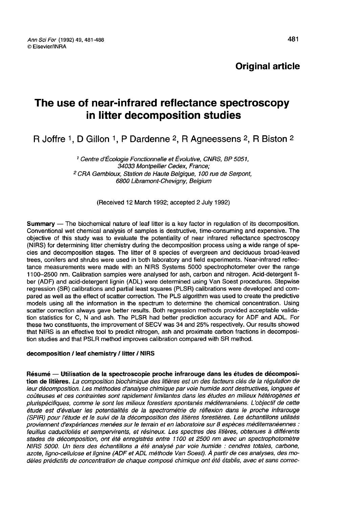# The use of near-infrared reflectance spectroscopy in litter decomposition studies

R Joffre 1, D Gillon 1, P Dardenne 2, R Agneessens 2, R Biston 2

<sup>1</sup> Centre d'Écologie Fonctionnelle et Évolutive, CNRS, BP 5051, <sup>2</sup> CRA Gembloux, Station de Haute Belgique, 100 rue de Serpont, 6800 Libramont-Chevigny, Belgium

(Received 12 March 1992; accepted 2 July 1992)

Summary — The biochemical nature of leaf litter is a key factor in regulation of its decomposition. Conventional wet chemical analysis of samples is destructive, time-consuming and expensive. The objective of this study was to evaluate the potentiality of near infrared reflectance spectroscopy (NIRS) for determining litter chemistry during the decomposition process using a wide range of species and decomposition stages. The litter of 8 species of evergreen and deciduous broad-leaved trees, conifers and shrubs were used in both laboratory and field experiments. Near-infrared reflectance measurements were made with an NIRS Systems 5000 spectrophotometer over the range 1100-2500 nm. Calibration samples were analysed for ash, carbon and nitrogen. Acid-detergent fiber (ADF) and acid-detergent lignin (ADL) were determined using Van Soest procedures. Stepwise regression (SR) calibrations and partial least squares (PLSR) calibrations were developed and compared as well as the effect of scatter correction. The PLS algorithm was used to create the predictive models using all the information in the spectrum to determine the chemical concentration. Using scatter correction always gave better results. Both regression methods provided acceptable validation statistics for C, N and ash. The PLSR had better prediction accuracy for ADF and ADL. For these two constituents, the improvement of SECV was 34 and 25% respectively. Our results showed that NIRS is an effective tool to predict nitrogen, ash and proximate carbon fractions in decomposition studies and that PSLR method improves calibration compared with SR method.

#### decomposition / leaf chemistry / litter / NIRS

Résumé — Utilisation de la spectroscopie proche infrarouge dans les études de décomposition de litières. La composition biochimique des litières est un des facteurs clés de la régulation de leur décomposition. Les méthodes d'analyse chimique par voie humide sont destructives, longues et coûteuses et ces contraintes sont rapidement limitantes dans les études en milieux hétérogènes et plurispécifiques, comme le sont les milieux forestiers spontanés méditerranéens. L'objectif de cette étude est d'évaluer les potentialités de la spectrométrie de réflexion dans le proche infrarouge (SPIR) pour l'étude et le suivi de la décomposition des litières forestières. Les échantillons utilisés proviennent d'expériences menées sur le terrain et en laboratoire sur 8 espèces méditerranéennes : feuillus caducifoliés et sempervirents, et résineux. Les spectres des litières, obtenues à différents stades de décomposition, ont été enregistrés entre 1100 et 2500 nm avec un spectrophotomètre NIRS 5000. Un tiers des échantillons a été analysé par voie humide : cendres totales, carbone, azote, ligno-cellulose et lignine (ADF et ADL méthode Van Soest). À partir de ces analyses, des modèles prédictifs de concentration de chaque composé chimique ont été établis, avec et sans correc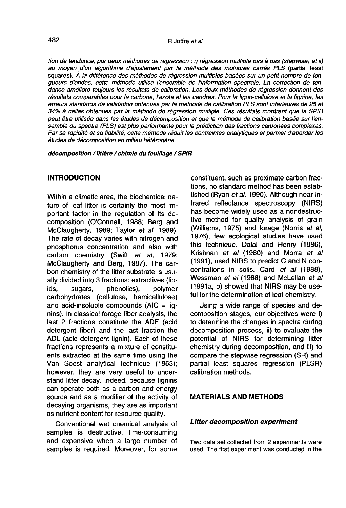tion de tendance, par deux méthodes de régression : i) régression multiple pas à pas (stepwise) et ii)<br>au moyen d'un algorithme d'ajustement par la méthode des moindres carrés PLS (partial least squares). À la différence des méthodes de régression multiples basées sur un petit nombre de longueurs d'ondes, cette méthode utilise l'ensemble de l'information spectrale. La correction de tendance améliore toujours les résultats de calibration. Les deux méthodes de régression donnent des résultats comparables pour le carbone, l'azote et les cendres. Pour la ligno-cellulose et la lignine, les erreurs standards de validation obtenues par la méthode de calibration PLS sont inférieures de 25 et 34% à celles obtenues par la méthode de régression multiple. Ces résultats montrent que la SPIR peut être utilisée dans les études de décomposition et que la méthode de calibration basée sur l'ensemble du spectre (PLS) est plus performante pour la prédiction des fractions carbonées complexes. Par sa rapidité et sa fiabilité, cette méthode réduit les contraintes analytiques et permet d'aborder les études de décomposition en milieu hétérogène.

#### décomposition / litière / chimie du feuillage / SPIR

### INTRODUCTION

Within a climatic area, the biochemical nature of leaf litter is certainly the most important factor in the regulation of its decomposition (O'Connell, 1988; Berg and McClaugherty, 1989; Taylor et al, 1989). The rate of decay varies with nitrogen and phosphorus concentration and also with carbon chemistry (Swift et al, 1979; McClaugherty and Berg, 1987). The carbon chemistry of the litter substrate is usually divided into 3 fractions: extractives (lipids, sugars, phenolics), polymer carbohydrates (cellulose, hemicellulose) and acid-insoluble compounds  $(AIC = Iiq$ nins). In classical forage fiber analysis, the last 2 fractions constitute the ADF (acid detergent fiber) and the last fraction the ADL (acid detergent lignin). Each of these fractions represents a mixture of constituents extracted at the same time using the Van Soest analytical technique (1963); however, they are very useful to understand litter decay. Indeed, because lignins can operate both as a carbon and energy source and as a modifier of the activity of decaying organisms, they are as important as nutrient content for resource quality.

Conventional wet chemical analysis of samples is destructive, time-consuming and expensive when a large number of samples is required. Moreover, for some

constituent, such as proximate carbon fractions, no standard method has been established (Ryan et al, 1990). Although near infrared reflectance spectroscopy (NIRS) has become widely used as a nondestructive method for quality analysis of grain (Williams, 1975) and forage (Norris et al, 1976), few ecological studies have used this technique. Dalal and Henry (1986), Krishnan et al (1980) and Morra et al (1991), used NIRS to predict C and N concentrations in soils. Card et al (1988), Wessman et al (1988) and McLellan et al (1991a, b) showed that NIRS may be useful for the determination of leaf chemistry.

Using a wide range of species and decomposition stages, our objectives were i) to determine the changes in spectra during decomposition process, ii) to evaluate the potential of NIRS for determining litter chemistry during decomposition, and iii) to compare the stepwise regression (SR) and partial least squares regression (PLSR) calibration methods.

## MATERIALS AND METHODS

#### Litter decomposition experiment

Two data set collected from 2 experiments were used. The first experiment was conducted in the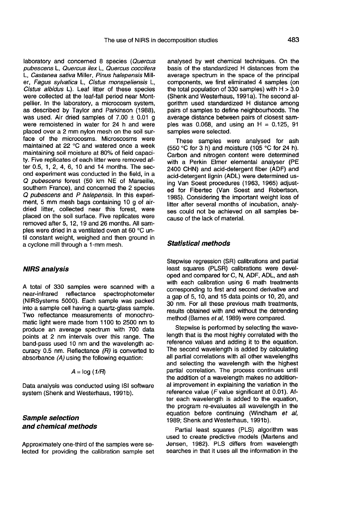laboratory and concerned 8 species (Quercus pubescens L, Quercus ilex L, Quercus coccifera L, Castanea sativa Miller, Pinus halepensis Miller, Fagus sylvatica L, Cistus monspeliensis L, Cistus albidus L). Leaf litter of these species were collected at the leaf-fall period near Montpellier. In the laboratory, a microcosm system, as described by Taylor and Parkinson (1988), was used. Air dried samples of  $7.00 \pm 0.01$  g were remoistened in water for 24 h and were placed over a 2 mm nylon mesh on the soil surface of the microcosms. Microscosms were maintained at 22 °C and watered once a week maintaining soil moisture at 80% of field capacity. Five replicates of each litter were removed after 0.5, 1, 2, 4, 6, 10 and 14 months. The second experiment was conducted in the field, in a Q pubescens forest (50 km NE of Marseille, southern France), and concerned the 2 species Q pubescens and P halepensis. In this experiment, 5 mm mesh bags containing 10 g of airdried litter, collected near this forest, were placed on the soil surface. Five replicates were removed after 5,12,19 and 26 months. All samples were dried in a ventilated oven at 60 °C until constant weight, weighed and then ground in a cyclone mill through a 1-mm mesh.

#### NIRS analysis

A total of 330 samples were scanned with a near-infrared reflectance spectrophotometer (NIRSystems 5000). Each sample was packed into a sample cell having a quartz-glass sample. Two reflectance measurements of monochromatic light were made from 1100 to 2500 nm to produce an average spectrum with 700 data points at 2 nm intervals over this range. The band-pass used 10 nm and the wavelength accuracy 0.5 nm. Reflectance  $(R)$  is converted to absorbance (A) using the following equation:

$$
A = \log (1/R)
$$

Data analysis was conducted using ISI software system (Shenk and Westerhaus, 1991b).

# Sample selection and chemical methods

Approximately one-third of the samples were selected for providing the calibration sample set analysed by wet chemical techniques. On the basis of the standardized H distances from the average spectrum in the space of the principal components, we first eliminated 4 samples (on the total population of 330 samples) with  $H > 3.0$ (Shenk and Westerhaus, 1991a). The second algorithm used standardized H distance among pairs of samples to define neighbourhoods. The average distance between pairs of closest samples was 0.068, and using an  $H = 0.125$ , 91 samples were selected.

These samples were analysed for ash (550 °C for 3 h) and moisture (105 °C for 24 h). Carbon and nitrogen content were determined with a Perkin Elmer elemental analyser (PE 2400 CHN) and acid-detergent fiber (ADF) and acid-detergent lignin (ADL) were determined using Van Soest procedures (1963, 1965) adjusted for Fibertec (Van Soest and Robertson, 1985). Considering the important weight loss of litter after several months of incubation, analy ses could not be achieved on all samples because of the lack of material.

## Statistical methods

Stepwise regression (SR) calibrations and partial least squares (PLSR) calibrations were developed and compared for C, N, ADF, ADL, and ash with each calibration using 6 math treatments corresponding to first and second derivative and a gap of 5, 10, and 15 data points or 10, 20, and 30 nm. For all these previous math treatments, results obtained with and without the detrending method (Bames et al, 1989) were compared.

Stepwise is performed by selecting the wavelength that is the most highly correlated with the reference values and adding it to the equation. The second wavelength is added by calculating all partial correlations with all other wavelengths and selecting the wavelength with the highest partial correlation. The process continues until the addition of a wavelength makes no additional improvement in explaining the variation in the reference value (F value significant at 0.01). Af ter each wavelength is added to the equation, the program re-evaluates all wavelength in the equation before continuing (Windham et al, 1989; Shenk and Westerhaus, 1991b).

Partial least squares (PLS) algorithm was used to create predictive models (Martens and Jensen, 1982). PLS differs from wavelength searches in that it uses all the information in the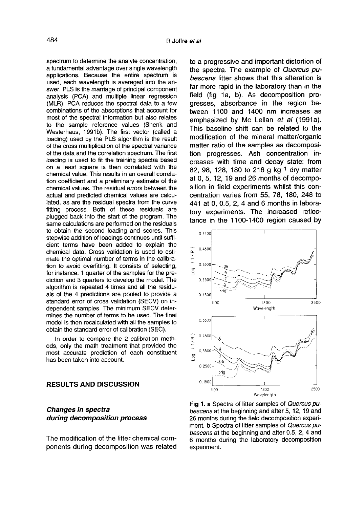spectrum to determine the analyte concentration, a fundamental advantage over single wavelength applications. Because the entire spectrum is used, each wavelength is averaged into the answer. PLS is the marriage of principal component analysis (PCA) and multiple linear regression (MLR). PCA reduces the spectral data to a few combinations of the absorptions that account for most of the spectral information but also relates to the sample reference values (Shenk and Westerhaus, 1991b). The first vector (called a loading) used by the PLS algorithm is the result of the cross multiplication of the spectral variance of the data and the correlation spectrum. The first loading is used to fit the training spectra based on a least square is then correlated with the chemical value. This results in an overall correlation coefficient and a preliminary estimate of the chemical values. The residual errors between the actual and predicted chemical values are calculated, as are the residual spectra from the curve fitting process. Both of these residuals are plugged back into the start of the program. The same calculations are performed on the residuals to obtain the second loading and scores. This stepwise addition of loadings continues until sufficient terms have been added to explain the chemical data. Cross validation is used to estimate the optimal number of terms in the calibration to avoid overfitting. It consists of selecting, for instance, 1 quarter of the samples for the prediction and 3 quarters to develop the model. The algorithm is repeated 4 times and all the residuals of the 4 predictions are pooled to provide a standard error of cross validation (SECV) on independent samples. The minimum SECV determines the number of terms to be used. The final model is then recalculated with all the samples to obtain the standard error of calibration (SEC).

In order to compare the 2 calibration methods, only the math treatment that provided the most accurate prediction of each constituent has been taken into account.

### RESULTS AND DISCUSSION

## Changes in spectra during decomposition process

The modification of the litter chemical components during decomposition was related to a progressive and important distortion of the spectra. The example of Quercus pubescens litter shows that this alteration is far more rapid in the laboratory than in the field (fig 1a, b). As decomposition progresses, absorbance in the region between 1100 and 1400 nm increases as emphasized by Mc Lellan et al (1991a). This baseline shift can be related to the modification of the mineral matter/organic matter ratio of the samples as decomposition progresses. Ash concentration increases with time and decay state: from 82, 98, 128, 180 to 216 g kg-1 dry matter at 0, 5, 12, 19 and 26 months of decomposition in field experiments whilst this concentration varies from 55, 78, 180, 248 to 441 at 0, 0.5, 2, 4 and 6 months in laboratory experiments. The increased reflectance in the 1100-1400 region caused by



Fig 1. a Spectra of litter samples of Quercus pubescens at the beginning and after 5, 12, 19 and 26 months during the field decomposition experiment. b Spectra of litter samples of Quercus pubescens at the beginning and after 0.5, 2, 4 and 6 months during the laboratory decomposition experiment.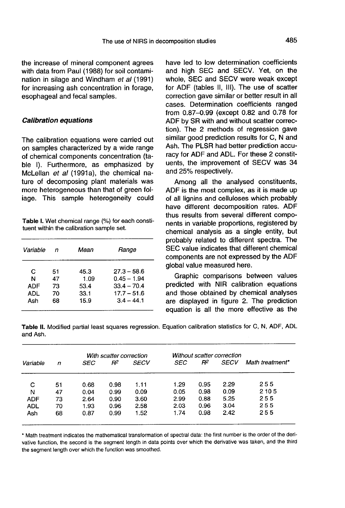the increase of mineral component agrees with data from Paul (1988) for soil contamination in silage and Windham et al (1991) for increasing ash concentration in forage, esophageal and fecal samples.

## Calibration equations

The calibration equations were carried out on samples characterized by a wide range of chemical components concentration (table I). Furthermore, as emphasized by McLellan et al (1991a), the chemical nature of decomposing plant materials was more heterogeneous than that of green foliage. This sample heterogeneity could

Table I. Wet chemical range (%) for each constituent within the calibration sample set.

| Variable   | n  | Mean | Range         |  |  |
|------------|----|------|---------------|--|--|
| С          | 51 | 45.3 | $27.3 - 58.6$ |  |  |
| N          | 47 | 1.09 | $0.45 - 1.94$ |  |  |
| <b>ADF</b> | 73 | 53.4 | $33.4 - 70.4$ |  |  |
| ADL        | 70 | 33.1 | $17.7 - 51.6$ |  |  |
| Ash        | 68 | 15.9 | $3.4 - 44.1$  |  |  |

have led to low determination coefficients and high SEC and SECV. Yet, on the whole, SEC and SECV were weak except for ADF (tables II, III). The use of scatter correction gave similar or better result in all cases. Determination coefficients ranged from 0.87-0.99 (except 0.82 and 0.78 for ADF by SR with and without scatter correction). The 2 methods of regression gave similar good prediction results for C, N and Ash. The PLSR had better prediction accuracy for ADF and ADL. For these 2 constituents, the improvement of SECV was 34 and 25% respectively.

Among all the analysed constituents, ADF is the most complex, as it is made up of all lignins and celluloses which probably have different decomposition rates. ADF thus results from several different components in variable proportions, registered by chemical analysis as a single entity, but probably related to different spectra. The SEC value indicates that different chemical components are not expressed by the ADF global value measured here.

Graphic comparisons between values predicted with NIR calibration equations and those obtained by chemical analyses are displayed in figure 2. The prediction equation is all the more effective as the

Table II. Modified partial least squares regression. Equation calibration statistics for C, N, ADF, ADL and Ash.

|            |    | With scatter correction |       | Without scatter correction |      |      |             |                 |
|------------|----|-------------------------|-------|----------------------------|------|------|-------------|-----------------|
| Variable   | n  | SEC                     | $R^2$ | SECV                       | SEC  | R2   | <b>SECV</b> | Math treatment* |
| с          | 51 | 0.68                    | 0.98  | 1.11                       | 1.29 | 0.95 | 2.29        | 255             |
| Ν          | 47 | 0.04                    | 0.99  | 0.09                       | 0.05 | 0.98 | 0.09        | 2105            |
| <b>ADF</b> | 73 | 2.64                    | 0.90  | 3.60                       | 2.99 | 0.88 | 5.25        | 255             |
| <b>ADL</b> | 70 | 1.93                    | 0.96  | 2.58                       | 2.03 | 0.96 | 3.04        | 255             |
| Ash        | 68 | 0.87                    | 0.99  | 1.52                       | 1.74 | 0.98 | 2.42        | 255             |

\* Math treatment indicates the mathematical transformation of spectral data: the first number is the order of the derivative function, the second is the segment length in data points over which the derivative was taken, and the third the segment length over which the function was smoothed.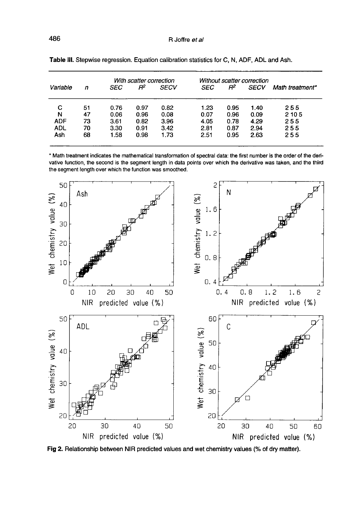| Variable   | n  | With scatter correction |      | Without scatter correction |            |      |             |                 |
|------------|----|-------------------------|------|----------------------------|------------|------|-------------|-----------------|
|            |    | SEC                     | R2   | SECV                       | <b>SEC</b> | R2   | <b>SECV</b> | Math treatment* |
| с          | 51 | 0.76                    | 0.97 | 0.82                       | 1.23       | 0.95 | 1.40        | 255             |
| N          | 47 | 0.06                    | 0.96 | 0.08                       | 0.07       | 0.96 | 0.09        | 2 10 5          |
| <b>ADF</b> | 73 | 3.61                    | 0.82 | 3.96                       | 4.05       | 0.78 | 4.29        | 255             |
| <b>ADL</b> | 70 | 3.30                    | 0.91 | 3.42                       | 2.81       | 0.87 | 2.94        | 255             |
| Ash        | 68 | 1.58                    | 0.98 | 1.73                       | 2.51       | 0.95 | 2.63        | 255             |

Table III. Stepwise regression. Equation calibration statistics for C, N, ADF, ADL and Ash.

\* Math treatment indicates the mathematical transformation of spectral data: the first number is the order of the derivative function, the second is the segment length in data points over which the derivative was taken, and the third the segment length over which the function was smoothed.



Fig 2. Relationship between NIR predicted values and wet chemistry values (% of dry matter).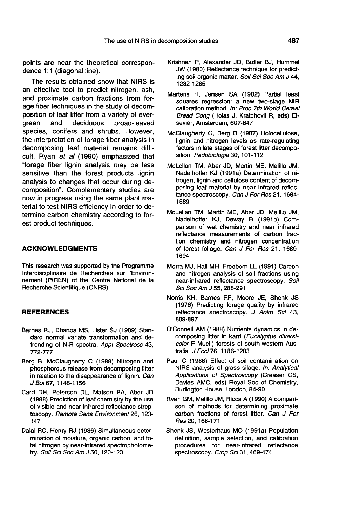points are near the theoretical correspondence 1:1 (diagonal line).

The results obtained show that NIRS is an effective tool to predict nitrogen, ash, and proximate carbon fractions from forage fiber techniques in the study of decomposition of leaf litter from a variety of ever-<br>green and deciduous broad-leaved broad-leaved species, conifers and shrubs. However, the interpretation of forage fiber analysis in decomposing leaf material remains difficult. Ryan et al (1990) emphasized that "forage fiber lignin analysis may be less sensitive than the forest products lignin analysis to changes that occur during decomposition". Complementary studies are now in progress using the same plant material to test NIRS efficiency in order to determine carbon chemistry according to forest product techniques.

## ACKNOWLEDGMENTS

This research was supported by the Programme Interdisciplinaire de Recherches sur l'Environnement (PIREN) of the Centre National de la Recherche Scientifique (CNRS).

## REFERENCES

- Barnes RJ, Dhanoa MS, Lister SJ (1989) Standard normal variate transformation and detrending of NIR spectra. Appl Spectrosc 43, 772-777
- Berg B, McClaugherty C (1989) Nitrogen and phosphorous release from decomposing litter in relation to the disappearance of lignin. Can J Bot 67, 1148-1156
- Card DH, Peterson DL, Matson PA, Aber JD (1988) Prediction of leaf chemistry by the use of visible and near-infrared reflectance streptoscopy. Remote Sens Environment 26, 123- 147
- Dalal RC, Henry RJ (1986) Simultaneous determination of moisture, organic carbon, and total nitrogen by near-infrared spectrophotometry. Soil Sci Soc Am J 50, 120-123
- Krishnan P, Alexander JD, Butler BJ, Hummel JW (1980) Reflectance technique for predicting soil organic matter. Soil Sci Soc Am J 44, 1282-1285
- Martens H, Jensen SA (1982) Partial least squares regression: a new two-stage NIR calibration method. In: Proc 7th World Cereal Bread Cong (Holas J, Kratchovil R, eds) Elsevier, Amsterdam, 607-647
- McClaugherty C, Berg B (1987) Holocellulose, lignin and nitrogen levels as rate-regulating factors in late stages of forest litter decomposition. Pedobiologia 30, 101-112
- McLellan TM, Aber JD, Martin ME, Melillo JM, Nadelhoffer KJ (1991a) Determination of nitrogen, lignin and cellulose content of decomposing leaf material by near infrared reflectance spectroscopy. Can J For Res 21, 1684-1689
- McLellan TM, Martin ME, Aber JD, Melillo JM, Nadelhoffer KJ, Deway B (1991b) Comparison of wet chemistry and near infrared reflectance measurements of carbon fraction chemistry and nitrogen concentration of forest foliage. Can J For Res 21, 1689-1694
- Morra MJ, Hall MH, Freebom LL (1991) Carbon and nitrogen analysis of soil fractions using near-infrared reflectance spectroscopy. Soil Sci Soc Am J 55, 288-291
- Norris KH, Barnes RF, Moore JE, Shenk JS (1976) Predicting forage quality by infrared reflectance spectroscopy. J Anim Sci 43, 889-897
- O'Connell AM (1988) Nutrients dynamics in decomposing litter in karri (Eucalyptus diversicolor F Muell) forests of south-western Australia. J Ecol 76, 1186-1203
- Paul C (1988) Effect of soil contamination on NIRS analysis of grass silage. In: Analytical Applications of Spectroscopy (Creaser CS, Davies AMC, eds) Royal Soc of Chemistry, Burlington House, London, 84-90
- Ryan GM, Melillo JM, Ricca A (1990) A compari son of methods for determining proximate carbon fractions of forest litter. Can J For Res 20, 166-171
- Shenk JS, Westerhaus MO (1991a) Population definition, sample selection, and calibration procedures for near-infrared reflectance spectroscopy. Crop Sci 31, 469-474